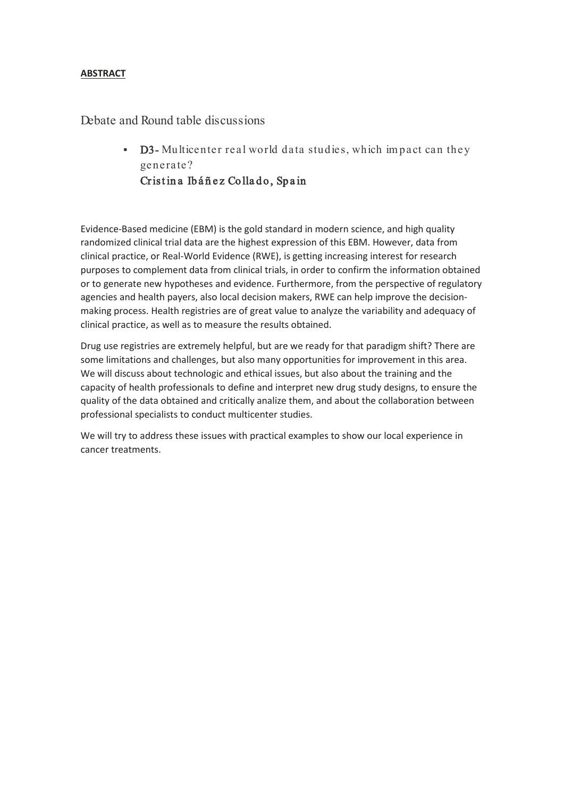## **ABSTRACT**

Debate and Round table discussions

**D3-** Multicenter real world data studies, which impact can they generate? Cristina Ibáñez Collado, Spain

Evidence-Based medicine (EBM) is the gold standard in modern science, and high quality randomized clinical trial data are the highest expression of this EBM. However, data from clinical practice, or Real-World Evidence (RWE), is getting increasing interest for research purposes to complement data from clinical trials, in order to confirm the information obtained or to generate new hypotheses and evidence. Furthermore, from the perspective of regulatory agencies and health payers, also local decision makers, RWE can help improve the decisionmaking process. Health registries are of great value to analyze the variability and adequacy of clinical practice, as well as to measure the results obtained.

Drug use registries are extremely helpful, but are we ready for that paradigm shift? There are some limitations and challenges, but also many opportunities for improvement in this area. We will discuss about technologic and ethical issues, but also about the training and the capacity of health professionals to define and interpret new drug study designs, to ensure the quality of the data obtained and critically analize them, and about the collaboration between professional specialists to conduct multicenter studies.

We will try to address these issues with practical examples to show our local experience in cancer treatments.